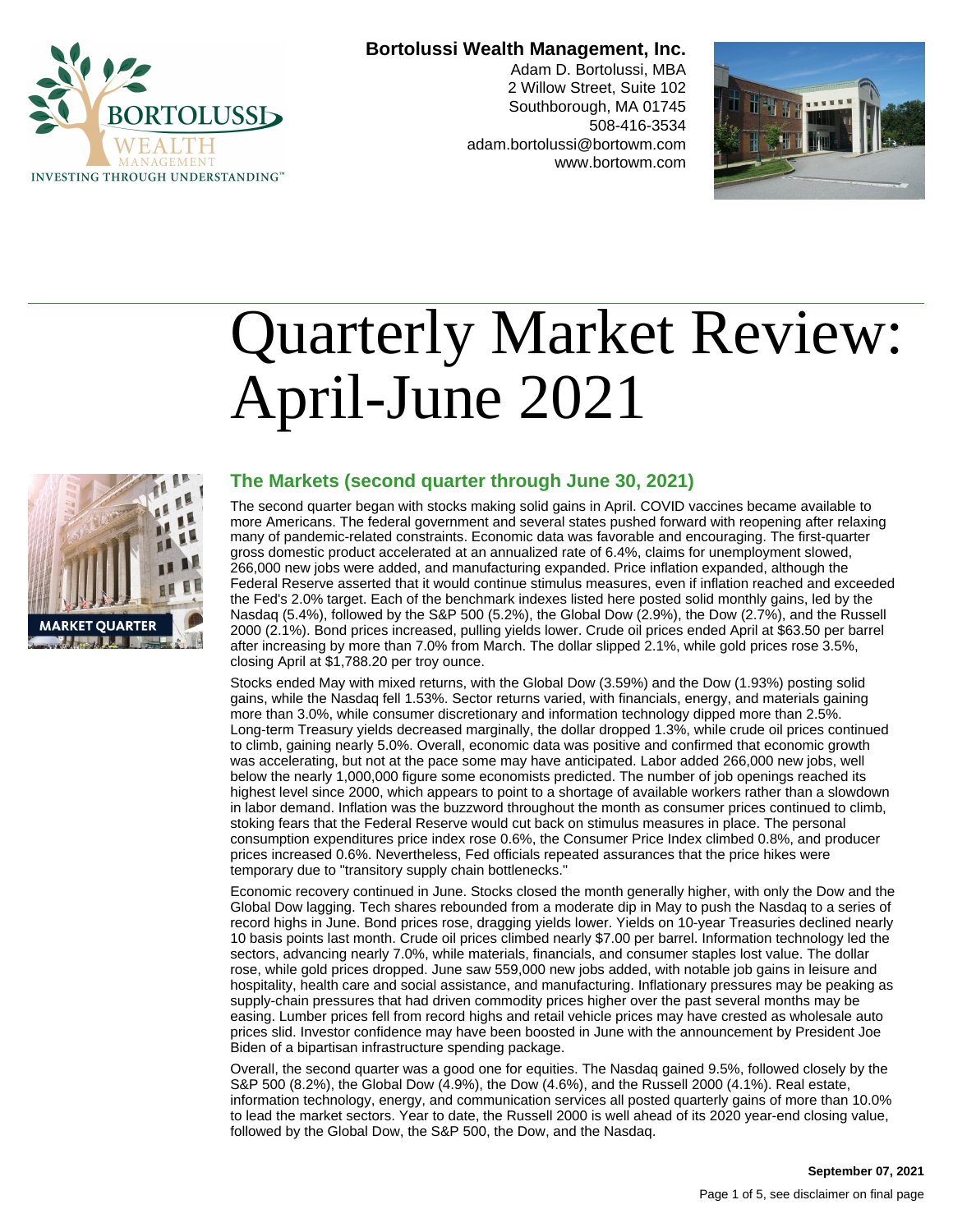

#### **Bortolussi Wealth Management, Inc.**

Adam D. Bortolussi, MBA 2 Willow Street, Suite 102 Southborough, MA 01745 508-416-3534 adam.bortolussi@bortowm.com www.bortowm.com



# Quarterly Market Review: April-June 2021



### **The Markets (second quarter through June 30, 2021)**

The second quarter began with stocks making solid gains in April. COVID vaccines became available to more Americans. The federal government and several states pushed forward with reopening after relaxing many of pandemic-related constraints. Economic data was favorable and encouraging. The first-quarter gross domestic product accelerated at an annualized rate of 6.4%, claims for unemployment slowed, 266,000 new jobs were added, and manufacturing expanded. Price inflation expanded, although the Federal Reserve asserted that it would continue stimulus measures, even if inflation reached and exceeded the Fed's 2.0% target. Each of the benchmark indexes listed here posted solid monthly gains, led by the Nasdaq (5.4%), followed by the S&P 500 (5.2%), the Global Dow (2.9%), the Dow (2.7%), and the Russell 2000 (2.1%). Bond prices increased, pulling yields lower. Crude oil prices ended April at \$63.50 per barrel after increasing by more than 7.0% from March. The dollar slipped 2.1%, while gold prices rose 3.5%, closing April at \$1,788.20 per troy ounce.

Stocks ended May with mixed returns, with the Global Dow (3.59%) and the Dow (1.93%) posting solid gains, while the Nasdaq fell 1.53%. Sector returns varied, with financials, energy, and materials gaining more than 3.0%, while consumer discretionary and information technology dipped more than 2.5%. Long-term Treasury yields decreased marginally, the dollar dropped 1.3%, while crude oil prices continued to climb, gaining nearly 5.0%. Overall, economic data was positive and confirmed that economic growth was accelerating, but not at the pace some may have anticipated. Labor added 266,000 new jobs, well below the nearly 1,000,000 figure some economists predicted. The number of job openings reached its highest level since 2000, which appears to point to a shortage of available workers rather than a slowdown in labor demand. Inflation was the buzzword throughout the month as consumer prices continued to climb, stoking fears that the Federal Reserve would cut back on stimulus measures in place. The personal consumption expenditures price index rose 0.6%, the Consumer Price Index climbed 0.8%, and producer prices increased 0.6%. Nevertheless, Fed officials repeated assurances that the price hikes were temporary due to "transitory supply chain bottlenecks."

Economic recovery continued in June. Stocks closed the month generally higher, with only the Dow and the Global Dow lagging. Tech shares rebounded from a moderate dip in May to push the Nasdaq to a series of record highs in June. Bond prices rose, dragging yields lower. Yields on 10-year Treasuries declined nearly 10 basis points last month. Crude oil prices climbed nearly \$7.00 per barrel. Information technology led the sectors, advancing nearly 7.0%, while materials, financials, and consumer staples lost value. The dollar rose, while gold prices dropped. June saw 559,000 new jobs added, with notable job gains in leisure and hospitality, health care and social assistance, and manufacturing. Inflationary pressures may be peaking as supply-chain pressures that had driven commodity prices higher over the past several months may be easing. Lumber prices fell from record highs and retail vehicle prices may have crested as wholesale auto prices slid. Investor confidence may have been boosted in June with the announcement by President Joe Biden of a bipartisan infrastructure spending package.

Overall, the second quarter was a good one for equities. The Nasdaq gained 9.5%, followed closely by the S&P 500 (8.2%), the Global Dow (4.9%), the Dow (4.6%), and the Russell 2000 (4.1%). Real estate, information technology, energy, and communication services all posted quarterly gains of more than 10.0% to lead the market sectors. Year to date, the Russell 2000 is well ahead of its 2020 year-end closing value, followed by the Global Dow, the S&P 500, the Dow, and the Nasdaq.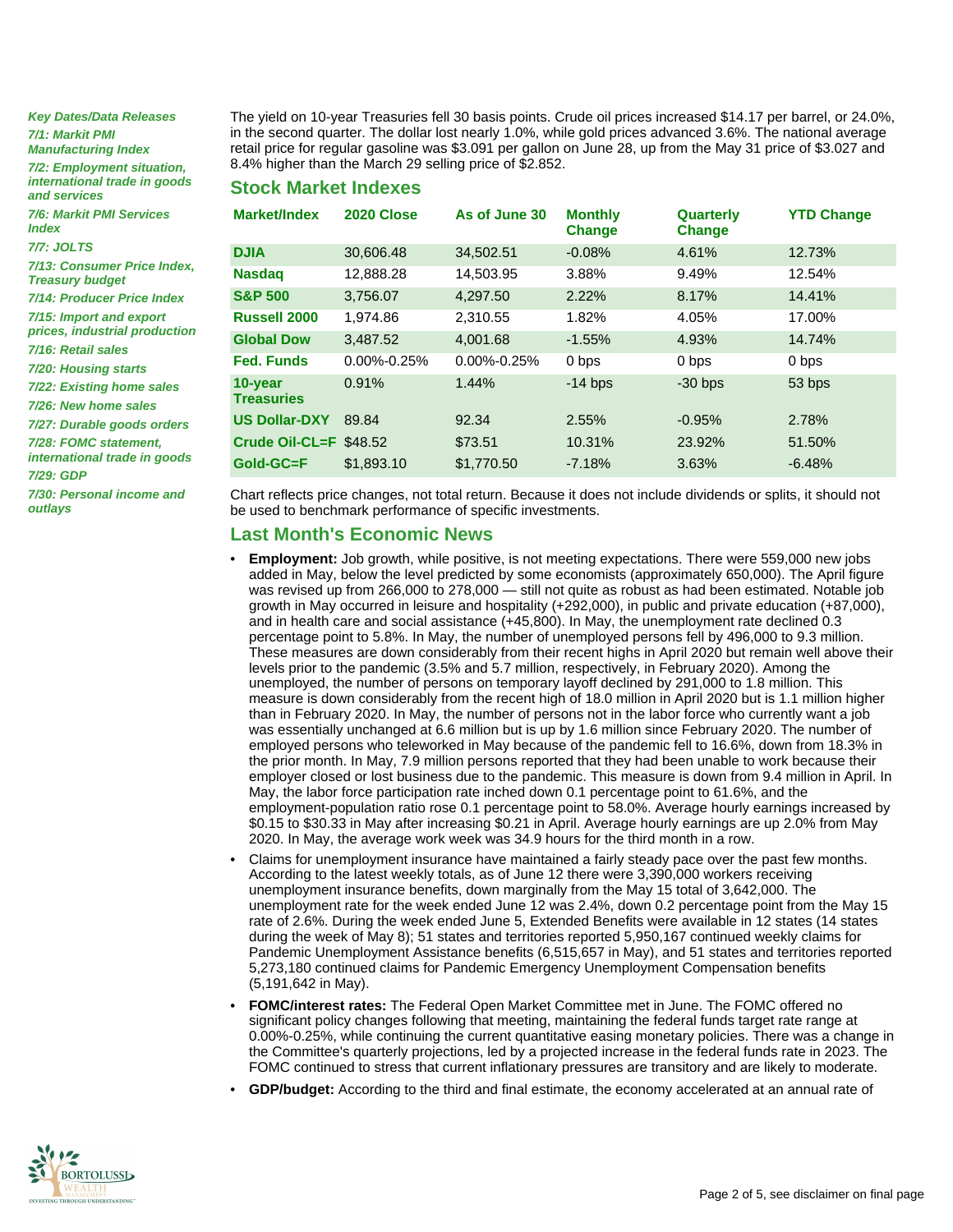**Key Dates/Data Releases 7/1: Markit PMI Manufacturing Index**

**7/2: Employment situation, international trade in goods and services**

**7/6: Markit PMI Services Index**

**7/7: JOLTS**

**7/13: Consumer Price Index, Treasury budget**

**7/14: Producer Price Index 7/15: Import and export**

**prices, industrial production 7/16: Retail sales**

**7/20: Housing starts**

**7/22: Existing home sales**

**7/26: New home sales**

**7/27: Durable goods orders**

**7/28: FOMC statement, international trade in goods**

**7/29: GDP**

**7/30: Personal income and outlays**

The yield on 10-year Treasuries fell 30 basis points. Crude oil prices increased \$14.17 per barrel, or 24.0%, in the second quarter. The dollar lost nearly 1.0%, while gold prices advanced 3.6%. The national average retail price for regular gasoline was \$3.091 per gallon on June 28, up from the May 31 price of \$3.027 and 8.4% higher than the March 29 selling price of \$2.852.

**Stock Market Indexes**

| Market/Index                 | 2020 Close        | As of June 30     | <b>Monthly</b><br><b>Change</b> | Quarterly<br><b>Change</b> | <b>YTD Change</b> |
|------------------------------|-------------------|-------------------|---------------------------------|----------------------------|-------------------|
| <b>DJIA</b>                  | 30,606.48         | 34,502.51         | $-0.08%$                        | 4.61%                      | 12.73%            |
| <b>Nasdag</b>                | 12,888.28         | 14.503.95         | 3.88%                           | 9.49%                      | 12.54%            |
| <b>S&amp;P 500</b>           | 3.756.07          | 4.297.50          | 2.22%                           | 8.17%                      | 14.41%            |
| <b>Russell 2000</b>          | 1,974.86          | 2,310.55          | 1.82%                           | 4.05%                      | 17.00%            |
| <b>Global Dow</b>            | 3.487.52          | 4.001.68          | $-1.55%$                        | 4.93%                      | 14.74%            |
| <b>Fed. Funds</b>            | $0.00\% - 0.25\%$ | $0.00\% - 0.25\%$ | 0 bps                           | 0 bps                      | 0 bps             |
| 10-year<br><b>Treasuries</b> | 0.91%             | 1.44%             | $-14$ bps                       | $-30$ bps                  | 53 bps            |
| <b>US Dollar-DXY</b>         | 89.84             | 92.34             | 2.55%                           | $-0.95%$                   | 2.78%             |
| Crude Oil-CL=F $$48.52$      |                   | \$73.51           | 10.31%                          | 23.92%                     | 51.50%            |
| Gold-GC=F                    | \$1,893.10        | \$1,770.50        | $-7.18%$                        | 3.63%                      | $-6.48%$          |

Chart reflects price changes, not total return. Because it does not include dividends or splits, it should not be used to benchmark performance of specific investments.

#### **Last Month's Economic News**

- **Employment:** Job growth, while positive, is not meeting expectations. There were 559,000 new jobs added in May, below the level predicted by some economists (approximately 650,000). The April figure was revised up from 266,000 to 278,000 — still not quite as robust as had been estimated. Notable job growth in May occurred in leisure and hospitality (+292,000), in public and private education (+87,000), and in health care and social assistance (+45,800). In May, the unemployment rate declined 0.3 percentage point to 5.8%. In May, the number of unemployed persons fell by 496,000 to 9.3 million. These measures are down considerably from their recent highs in April 2020 but remain well above their levels prior to the pandemic (3.5% and 5.7 million, respectively, in February 2020). Among the unemployed, the number of persons on temporary layoff declined by 291,000 to 1.8 million. This measure is down considerably from the recent high of 18.0 million in April 2020 but is 1.1 million higher than in February 2020. In May, the number of persons not in the labor force who currently want a job was essentially unchanged at 6.6 million but is up by 1.6 million since February 2020. The number of employed persons who teleworked in May because of the pandemic fell to 16.6%, down from 18.3% in the prior month. In May, 7.9 million persons reported that they had been unable to work because their employer closed or lost business due to the pandemic. This measure is down from 9.4 million in April. In May, the labor force participation rate inched down 0.1 percentage point to 61.6%, and the employment-population ratio rose 0.1 percentage point to 58.0%. Average hourly earnings increased by \$0.15 to \$30.33 in May after increasing \$0.21 in April. Average hourly earnings are up 2.0% from May 2020. In May, the average work week was 34.9 hours for the third month in a row.
- Claims for unemployment insurance have maintained a fairly steady pace over the past few months. According to the latest weekly totals, as of June 12 there were 3,390,000 workers receiving unemployment insurance benefits, down marginally from the May 15 total of 3,642,000. The unemployment rate for the week ended June 12 was 2.4%, down 0.2 percentage point from the May 15 rate of 2.6%. During the week ended June 5, Extended Benefits were available in 12 states (14 states during the week of May 8); 51 states and territories reported 5,950,167 continued weekly claims for Pandemic Unemployment Assistance benefits (6,515,657 in May), and 51 states and territories reported 5,273,180 continued claims for Pandemic Emergency Unemployment Compensation benefits (5,191,642 in May).
- **FOMC/interest rates:** The Federal Open Market Committee met in June. The FOMC offered no significant policy changes following that meeting, maintaining the federal funds target rate range at 0.00%-0.25%, while continuing the current quantitative easing monetary policies. There was a change in the Committee's quarterly projections, led by a projected increase in the federal funds rate in 2023. The FOMC continued to stress that current inflationary pressures are transitory and are likely to moderate.
- **GDP/budget:** According to the third and final estimate, the economy accelerated at an annual rate of

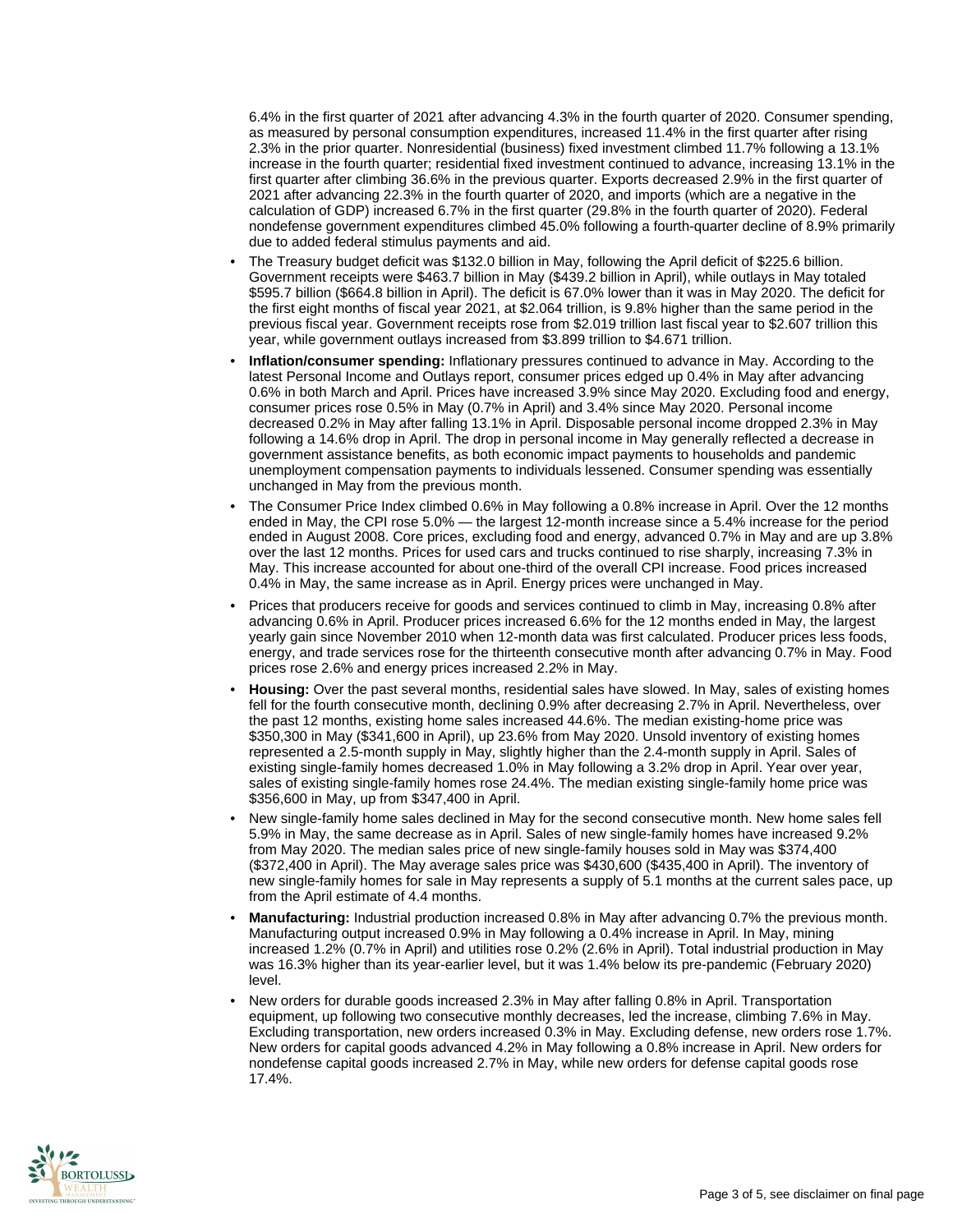6.4% in the first quarter of 2021 after advancing 4.3% in the fourth quarter of 2020. Consumer spending, as measured by personal consumption expenditures, increased 11.4% in the first quarter after rising 2.3% in the prior quarter. Nonresidential (business) fixed investment climbed 11.7% following a 13.1% increase in the fourth quarter; residential fixed investment continued to advance, increasing 13.1% in the first quarter after climbing 36.6% in the previous quarter. Exports decreased 2.9% in the first quarter of 2021 after advancing 22.3% in the fourth quarter of 2020, and imports (which are a negative in the calculation of GDP) increased 6.7% in the first quarter (29.8% in the fourth quarter of 2020). Federal nondefense government expenditures climbed 45.0% following a fourth-quarter decline of 8.9% primarily due to added federal stimulus payments and aid.

- The Treasury budget deficit was \$132.0 billion in May, following the April deficit of \$225.6 billion. Government receipts were \$463.7 billion in May (\$439.2 billion in April), while outlays in May totaled \$595.7 billion (\$664.8 billion in April). The deficit is 67.0% lower than it was in May 2020. The deficit for the first eight months of fiscal year 2021, at \$2.064 trillion, is 9.8% higher than the same period in the previous fiscal year. Government receipts rose from \$2.019 trillion last fiscal year to \$2.607 trillion this year, while government outlays increased from \$3.899 trillion to \$4.671 trillion.
- **Inflation/consumer spending:** Inflationary pressures continued to advance in May. According to the latest Personal Income and Outlays report, consumer prices edged up 0.4% in May after advancing 0.6% in both March and April. Prices have increased 3.9% since May 2020. Excluding food and energy, consumer prices rose 0.5% in May (0.7% in April) and 3.4% since May 2020. Personal income decreased 0.2% in May after falling 13.1% in April. Disposable personal income dropped 2.3% in May following a 14.6% drop in April. The drop in personal income in May generally reflected a decrease in government assistance benefits, as both economic impact payments to households and pandemic unemployment compensation payments to individuals lessened. Consumer spending was essentially unchanged in May from the previous month.
- The Consumer Price Index climbed 0.6% in May following a 0.8% increase in April. Over the 12 months ended in May, the CPI rose 5.0% — the largest 12-month increase since a 5.4% increase for the period ended in August 2008. Core prices, excluding food and energy, advanced 0.7% in May and are up 3.8% over the last 12 months. Prices for used cars and trucks continued to rise sharply, increasing 7.3% in May. This increase accounted for about one-third of the overall CPI increase. Food prices increased 0.4% in May, the same increase as in April. Energy prices were unchanged in May.
- Prices that producers receive for goods and services continued to climb in May, increasing 0.8% after advancing 0.6% in April. Producer prices increased 6.6% for the 12 months ended in May, the largest yearly gain since November 2010 when 12-month data was first calculated. Producer prices less foods, energy, and trade services rose for the thirteenth consecutive month after advancing 0.7% in May. Food prices rose 2.6% and energy prices increased 2.2% in May.
- **Housing:** Over the past several months, residential sales have slowed. In May, sales of existing homes fell for the fourth consecutive month, declining 0.9% after decreasing 2.7% in April. Nevertheless, over the past 12 months, existing home sales increased 44.6%. The median existing-home price was \$350,300 in May (\$341,600 in April), up 23.6% from May 2020. Unsold inventory of existing homes represented a 2.5-month supply in May, slightly higher than the 2.4-month supply in April. Sales of existing single-family homes decreased 1.0% in May following a 3.2% drop in April. Year over year, sales of existing single-family homes rose 24.4%. The median existing single-family home price was \$356,600 in May, up from \$347,400 in April.
- New single-family home sales declined in May for the second consecutive month. New home sales fell 5.9% in May, the same decrease as in April. Sales of new single-family homes have increased 9.2% from May 2020. The median sales price of new single-family houses sold in May was \$374,400 (\$372,400 in April). The May average sales price was \$430,600 (\$435,400 in April). The inventory of new single-family homes for sale in May represents a supply of 5.1 months at the current sales pace, up from the April estimate of 4.4 months.
- **Manufacturing:** Industrial production increased 0.8% in May after advancing 0.7% the previous month. Manufacturing output increased 0.9% in May following a 0.4% increase in April. In May, mining increased 1.2% (0.7% in April) and utilities rose 0.2% (2.6% in April). Total industrial production in May was 16.3% higher than its year-earlier level, but it was 1.4% below its pre-pandemic (February 2020) level.
- New orders for durable goods increased 2.3% in May after falling 0.8% in April. Transportation equipment, up following two consecutive monthly decreases, led the increase, climbing 7.6% in May. Excluding transportation, new orders increased 0.3% in May. Excluding defense, new orders rose 1.7%. New orders for capital goods advanced 4.2% in May following a 0.8% increase in April. New orders for nondefense capital goods increased 2.7% in May, while new orders for defense capital goods rose 17.4%.

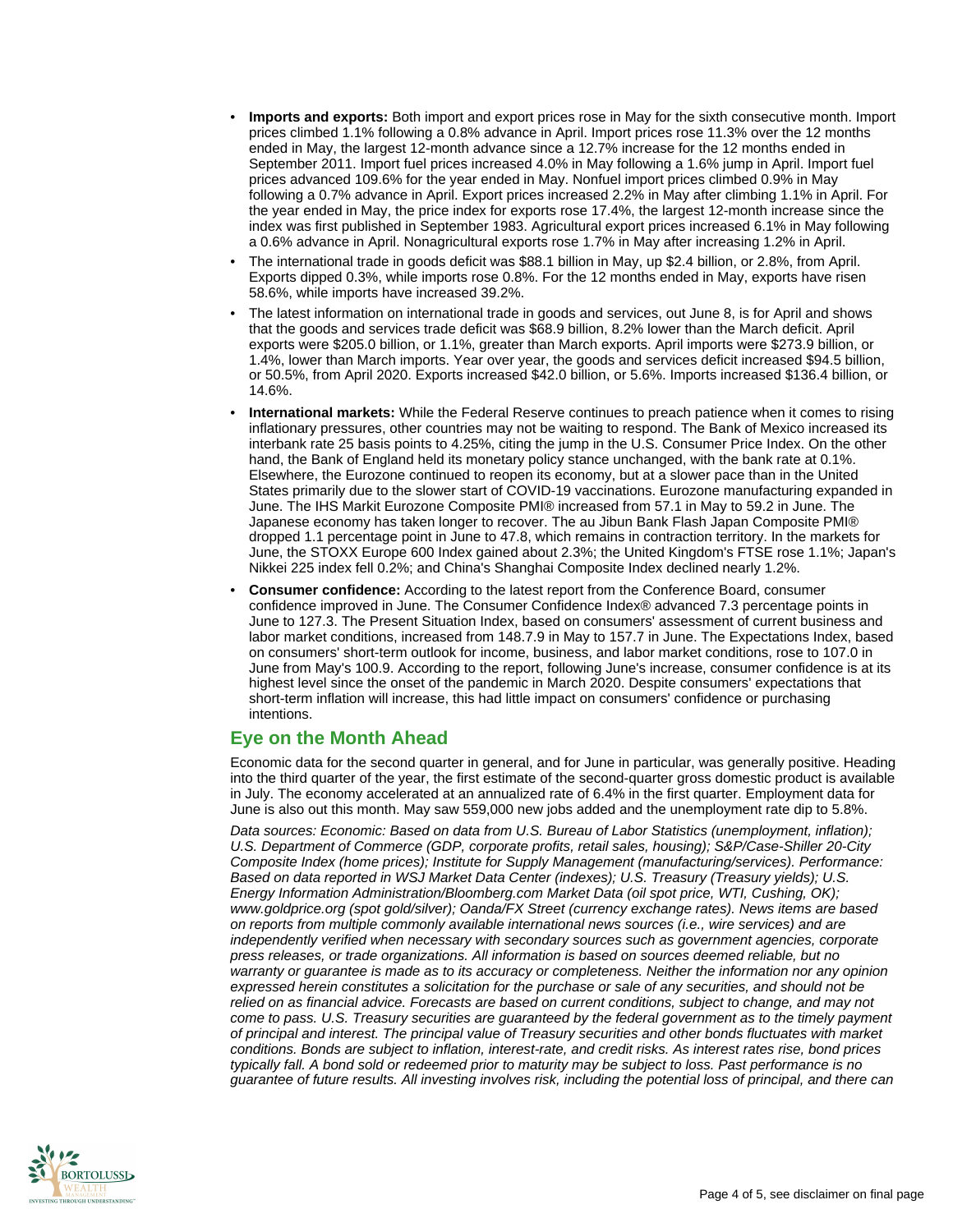- **Imports and exports:** Both import and export prices rose in May for the sixth consecutive month. Import prices climbed 1.1% following a 0.8% advance in April. Import prices rose 11.3% over the 12 months ended in May, the largest 12-month advance since a 12.7% increase for the 12 months ended in September 2011. Import fuel prices increased 4.0% in May following a 1.6% jump in April. Import fuel prices advanced 109.6% for the year ended in May. Nonfuel import prices climbed 0.9% in May following a 0.7% advance in April. Export prices increased 2.2% in May after climbing 1.1% in April. For the year ended in May, the price index for exports rose 17.4%, the largest 12-month increase since the index was first published in September 1983. Agricultural export prices increased 6.1% in May following a 0.6% advance in April. Nonagricultural exports rose 1.7% in May after increasing 1.2% in April.
- The international trade in goods deficit was \$88.1 billion in May, up \$2.4 billion, or 2.8%, from April. Exports dipped 0.3%, while imports rose 0.8%. For the 12 months ended in May, exports have risen 58.6%, while imports have increased 39.2%.
- The latest information on international trade in goods and services, out June 8, is for April and shows that the goods and services trade deficit was \$68.9 billion, 8.2% lower than the March deficit. April exports were \$205.0 billion, or 1.1%, greater than March exports. April imports were \$273.9 billion, or 1.4%, lower than March imports. Year over year, the goods and services deficit increased \$94.5 billion, or 50.5%, from April 2020. Exports increased \$42.0 billion, or 5.6%. Imports increased \$136.4 billion, or 14.6%.
- **International markets:** While the Federal Reserve continues to preach patience when it comes to rising inflationary pressures, other countries may not be waiting to respond. The Bank of Mexico increased its interbank rate 25 basis points to 4.25%, citing the jump in the U.S. Consumer Price Index. On the other hand, the Bank of England held its monetary policy stance unchanged, with the bank rate at 0.1%. Elsewhere, the Eurozone continued to reopen its economy, but at a slower pace than in the United States primarily due to the slower start of COVID-19 vaccinations. Eurozone manufacturing expanded in June. The IHS Markit Eurozone Composite PMI® increased from 57.1 in May to 59.2 in June. The Japanese economy has taken longer to recover. The au Jibun Bank Flash Japan Composite PMI® dropped 1.1 percentage point in June to 47.8, which remains in contraction territory. In the markets for June, the STOXX Europe 600 Index gained about 2.3%; the United Kingdom's FTSE rose 1.1%; Japan's Nikkei 225 index fell 0.2%; and China's Shanghai Composite Index declined nearly 1.2%.
- **Consumer confidence:** According to the latest report from the Conference Board, consumer confidence improved in June. The Consumer Confidence Index® advanced 7.3 percentage points in June to 127.3. The Present Situation Index, based on consumers' assessment of current business and labor market conditions, increased from 148.7.9 in May to 157.7 in June. The Expectations Index, based on consumers' short-term outlook for income, business, and labor market conditions, rose to 107.0 in June from May's 100.9. According to the report, following June's increase, consumer confidence is at its highest level since the onset of the pandemic in March 2020. Despite consumers' expectations that short-term inflation will increase, this had little impact on consumers' confidence or purchasing intentions.

## **Eye on the Month Ahead**

Economic data for the second quarter in general, and for June in particular, was generally positive. Heading into the third quarter of the year, the first estimate of the second-quarter gross domestic product is available in July. The economy accelerated at an annualized rate of 6.4% in the first quarter. Employment data for June is also out this month. May saw 559,000 new jobs added and the unemployment rate dip to 5.8%.

Data sources: Economic: Based on data from U.S. Bureau of Labor Statistics (unemployment, inflation); U.S. Department of Commerce (GDP, corporate profits, retail sales, housing); S&P/Case-Shiller 20-City Composite Index (home prices); Institute for Supply Management (manufacturing/services). Performance: Based on data reported in WSJ Market Data Center (indexes); U.S. Treasury (Treasury yields); U.S. Energy Information Administration/Bloomberg.com Market Data (oil spot price, WTI, Cushing, OK); www.goldprice.org (spot gold/silver); Oanda/FX Street (currency exchange rates). News items are based on reports from multiple commonly available international news sources (i.e., wire services) and are independently verified when necessary with secondary sources such as government agencies, corporate press releases, or trade organizations. All information is based on sources deemed reliable, but no warranty or guarantee is made as to its accuracy or completeness. Neither the information nor any opinion expressed herein constitutes a solicitation for the purchase or sale of any securities, and should not be relied on as financial advice. Forecasts are based on current conditions, subject to change, and may not come to pass. U.S. Treasury securities are guaranteed by the federal government as to the timely payment of principal and interest. The principal value of Treasury securities and other bonds fluctuates with market conditions. Bonds are subject to inflation, interest-rate, and credit risks. As interest rates rise, bond prices typically fall. A bond sold or redeemed prior to maturity may be subject to loss. Past performance is no guarantee of future results. All investing involves risk, including the potential loss of principal, and there can